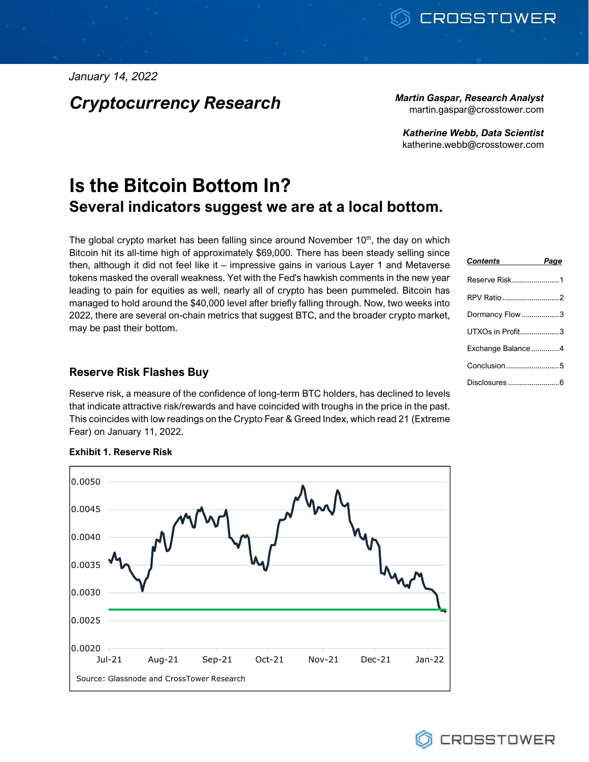*January 14, 2022*

*Cryptocurrency Research Martin Gaspar, Research Analyst*

martin.gaspar@crosstower.com

*Katherine Webb, Data Scientist* katherine.webb@crosstower.com

# **Is the Bitcoin Bottom In? Several indicators suggest we are at a local bottom.**

The global crypto market has been falling since around November  $10<sup>th</sup>$ , the day on which Bitcoin hit its all-time high of approximately \$69,000. There has been steady selling since then, although it did not feel like it – impressive gains in various Layer 1 and Metaverse tokens masked the overall weakness. Yet with the Fed's hawkish comments in the new year leading to pain for equities as well, nearly all of crypto has been pummeled. Bitcoin has managed to hold around the \$40,000 level after briefly falling through. Now, two weeks into 2022, there are several on-chain metrics that suggest BTC, and the broader crypto market, may be past their bottom.

# **Reserve Risk Flashes Buy**

Reserve risk, a measure of the confidence of long-term BTC holders, has declined to levels that indicate attractive risk/rewards and have coincided with troughs in the price in the past. This coincides with low readings on the Crypto Fear & Greed Index, which read 21 (Extreme Fear) on January 11, 2022.



## **Exhibit 1. Reserve Risk**

| Contents           | Page |
|--------------------|------|
| Reserve Risk1      |      |
| RPV Ratio 2        |      |
| Dormancy Flow 3    |      |
| UTXOs in Profit3   |      |
| Exchange Balance 4 |      |
| Conclusion5        |      |
|                    |      |

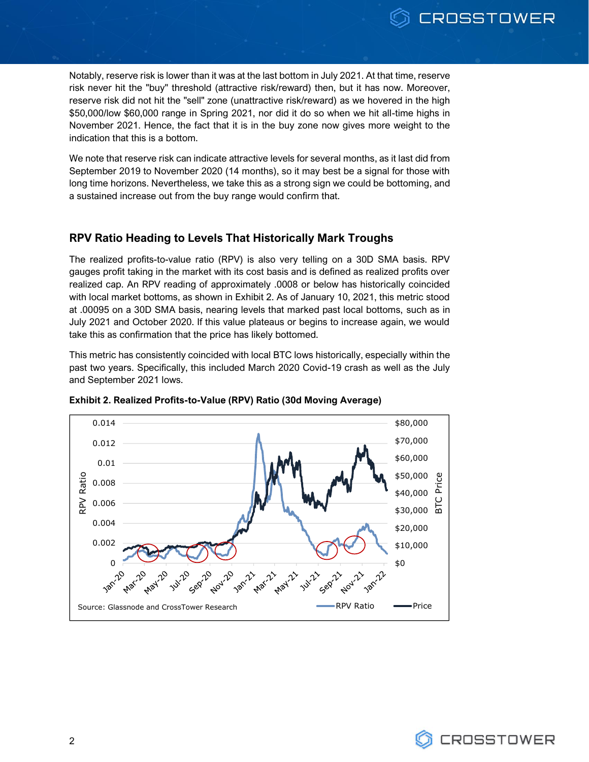Notably, reserve risk is lower than it was at the last bottom in July 2021. At that time, reserve risk never hit the "buy" threshold (attractive risk/reward) then, but it has now. Moreover, reserve risk did not hit the "sell" zone (unattractive risk/reward) as we hovered in the high \$50,000/low \$60,000 range in Spring 2021, nor did it do so when we hit all-time highs in November 2021. Hence, the fact that it is in the buy zone now gives more weight to the indication that this is a bottom.

We note that reserve risk can indicate attractive levels for several months, as it last did from September 2019 to November 2020 (14 months), so it may best be a signal for those with long time horizons. Nevertheless, we take this as a strong sign we could be bottoming, and a sustained increase out from the buy range would confirm that.

# **RPV Ratio Heading to Levels That Historically Mark Troughs**

The realized profits-to-value ratio (RPV) is also very telling on a 30D SMA basis. RPV gauges profit taking in the market with its cost basis and is defined as realized profits over realized cap. An RPV reading of approximately .0008 or below has historically coincided with local market bottoms, as shown in Exhibit 2. As of January 10, 2021, this metric stood at .00095 on a 30D SMA basis, nearing levels that marked past local bottoms, such as in July 2021 and October 2020. If this value plateaus or begins to increase again, we would take this as confirmation that the price has likely bottomed.

This metric has consistently coincided with local BTC lows historically, especially within the past two years. Specifically, this included March 2020 Covid-19 crash as well as the July and September 2021 lows.



**Exhibit 2. Realized Profits-to-Value (RPV) Ratio (30d Moving Average)**

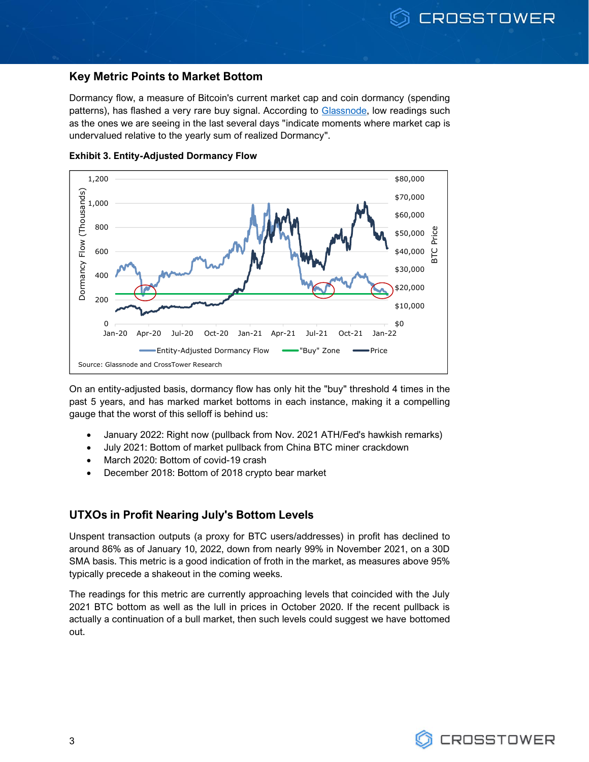## **Key Metric Points to Market Bottom**

Dormancy flow, a measure of Bitcoin's current market cap and coin dormancy (spending patterns), has flashed a very rare buy signal. According to [Glassnode,](https://insights.glassnode.com/the-week-onchain-week-02-2022/?utm_source=newsletter&utm_medium=email&utm_campaign=twoc_02_2022) low readings such as the ones we are seeing in the last several days "indicate moments where market cap is undervalued relative to the yearly sum of realized Dormancy".



**Exhibit 3. Entity-Adjusted Dormancy Flow**

On an entity-adjusted basis, dormancy flow has only hit the "buy" threshold 4 times in the past 5 years, and has marked market bottoms in each instance, making it a compelling gauge that the worst of this selloff is behind us:

- January 2022: Right now (pullback from Nov. 2021 ATH/Fed's hawkish remarks)
- July 2021: Bottom of market pullback from China BTC miner crackdown
- March 2020: Bottom of covid-19 crash
- December 2018: Bottom of 2018 crypto bear market

# **UTXOs in Profit Nearing July's Bottom Levels**

Unspent transaction outputs (a proxy for BTC users/addresses) in profit has declined to around 86% as of January 10, 2022, down from nearly 99% in November 2021, on a 30D SMA basis. This metric is a good indication of froth in the market, as measures above 95% typically precede a shakeout in the coming weeks.

The readings for this metric are currently approaching levels that coincided with the July 2021 BTC bottom as well as the lull in prices in October 2020. If the recent pullback is actually a continuation of a bull market, then such levels could suggest we have bottomed out.

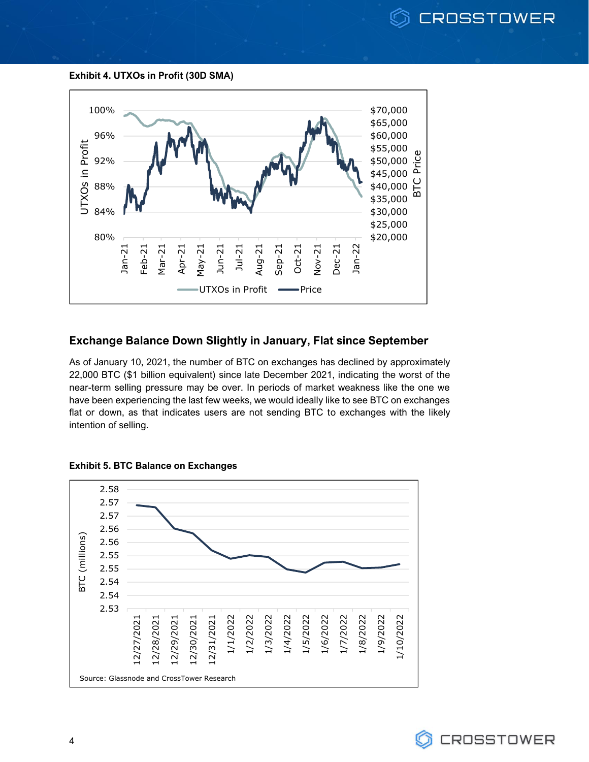

**Exhibit 4. UTXOs in Profit (30D SMA)**



# **Exchange Balance Down Slightly in January, Flat since September**

As of January 10, 2021, the number of BTC on exchanges has declined by approximately 22,000 BTC (\$1 billion equivalent) since late December 2021, indicating the worst of the near-term selling pressure may be over. In periods of market weakness like the one we have been experiencing the last few weeks, we would ideally like to see BTC on exchanges flat or down, as that indicates users are not sending BTC to exchanges with the likely intention of selling.



## **Exhibit 5. BTC Balance on Exchanges**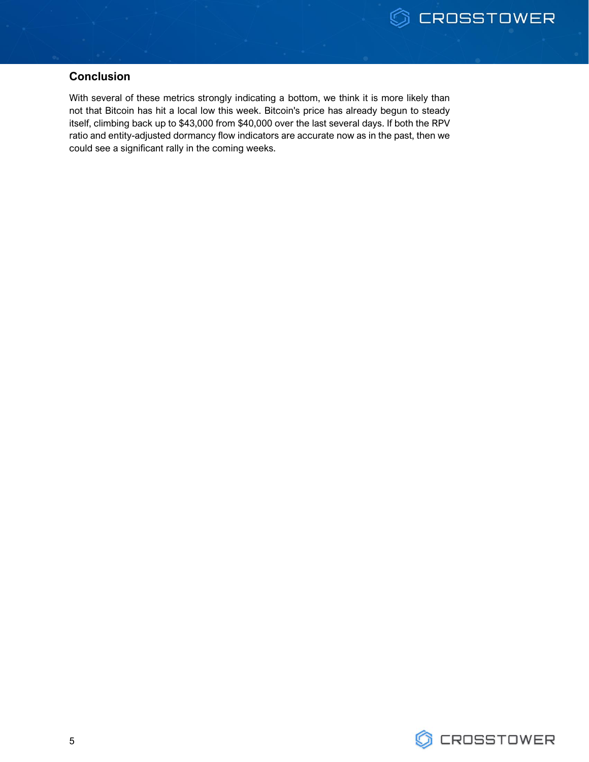# **Conclusion**

With several of these metrics strongly indicating a bottom, we think it is more likely than not that Bitcoin has hit a local low this week. Bitcoin's price has already begun to steady itself, climbing back up to \$43,000 from \$40,000 over the last several days. If both the RPV ratio and entity-adjusted dormancy flow indicators are accurate now as in the past, then we could see a significant rally in the coming weeks.

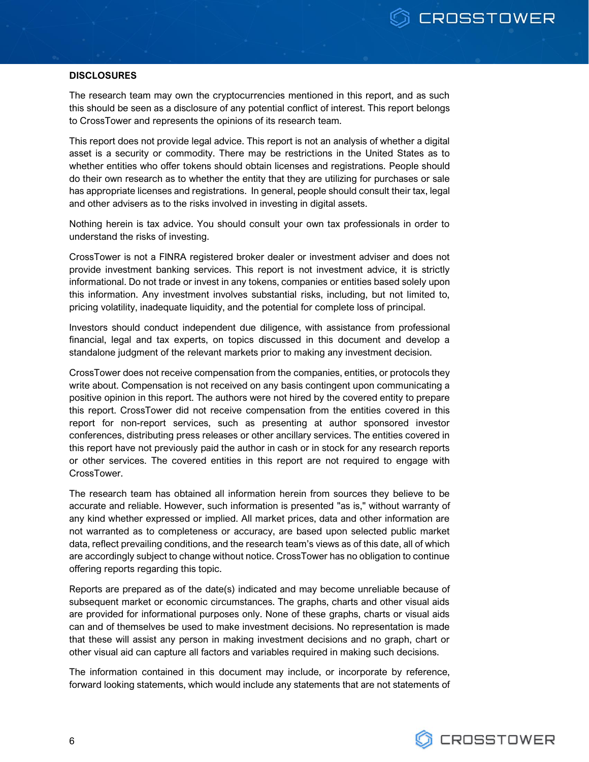#### **DISCLOSURES**

The research team may own the cryptocurrencies mentioned in this report, and as such this should be seen as a disclosure of any potential conflict of interest. This report belongs to CrossTower and represents the opinions of its research team.

This report does not provide legal advice. This report is not an analysis of whether a digital asset is a security or commodity. There may be restrictions in the United States as to whether entities who offer tokens should obtain licenses and registrations. People should do their own research as to whether the entity that they are utilizing for purchases or sale has appropriate licenses and registrations. In general, people should consult their tax, legal and other advisers as to the risks involved in investing in digital assets.

Nothing herein is tax advice. You should consult your own tax professionals in order to understand the risks of investing.

CrossTower is not a FINRA registered broker dealer or investment adviser and does not provide investment banking services. This report is not investment advice, it is strictly informational. Do not trade or invest in any tokens, companies or entities based solely upon this information. Any investment involves substantial risks, including, but not limited to, pricing volatility, inadequate liquidity, and the potential for complete loss of principal.

Investors should conduct independent due diligence, with assistance from professional financial, legal and tax experts, on topics discussed in this document and develop a standalone judgment of the relevant markets prior to making any investment decision.

CrossTower does not receive compensation from the companies, entities, or protocols they write about. Compensation is not received on any basis contingent upon communicating a positive opinion in this report. The authors were not hired by the covered entity to prepare this report. CrossTower did not receive compensation from the entities covered in this report for non-report services, such as presenting at author sponsored investor conferences, distributing press releases or other ancillary services. The entities covered in this report have not previously paid the author in cash or in stock for any research reports or other services. The covered entities in this report are not required to engage with CrossTower.

The research team has obtained all information herein from sources they believe to be accurate and reliable. However, such information is presented "as is," without warranty of any kind whether expressed or implied. All market prices, data and other information are not warranted as to completeness or accuracy, are based upon selected public market data, reflect prevailing conditions, and the research team's views as of this date, all of which are accordingly subject to change without notice. CrossTower has no obligation to continue offering reports regarding this topic.

Reports are prepared as of the date(s) indicated and may become unreliable because of subsequent market or economic circumstances. The graphs, charts and other visual aids are provided for informational purposes only. None of these graphs, charts or visual aids can and of themselves be used to make investment decisions. No representation is made that these will assist any person in making investment decisions and no graph, chart or other visual aid can capture all factors and variables required in making such decisions.

The information contained in this document may include, or incorporate by reference, forward looking statements, which would include any statements that are not statements of